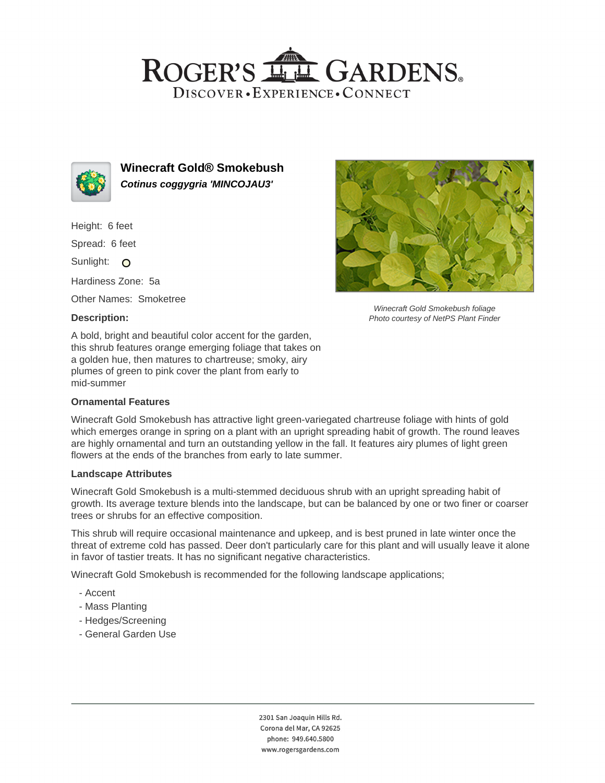# ROGER'S LL GARDENS. DISCOVER · EXPERIENCE · CONNECT



**Winecraft Gold® Smokebush Cotinus coggygria 'MINCOJAU3'**

Height: 6 feet

Spread: 6 feet

Sunlight: O

Hardiness Zone: 5a

Other Names: Smoketree

## **Description:**



Winecraft Gold Smokebush foliage Photo courtesy of NetPS Plant Finder

A bold, bright and beautiful color accent for the garden, this shrub features orange emerging foliage that takes on a golden hue, then matures to chartreuse; smoky, airy plumes of green to pink cover the plant from early to mid-summer

## **Ornamental Features**

Winecraft Gold Smokebush has attractive light green-variegated chartreuse foliage with hints of gold which emerges orange in spring on a plant with an upright spreading habit of growth. The round leaves are highly ornamental and turn an outstanding yellow in the fall. It features airy plumes of light green flowers at the ends of the branches from early to late summer.

#### **Landscape Attributes**

Winecraft Gold Smokebush is a multi-stemmed deciduous shrub with an upright spreading habit of growth. Its average texture blends into the landscape, but can be balanced by one or two finer or coarser trees or shrubs for an effective composition.

This shrub will require occasional maintenance and upkeep, and is best pruned in late winter once the threat of extreme cold has passed. Deer don't particularly care for this plant and will usually leave it alone in favor of tastier treats. It has no significant negative characteristics.

Winecraft Gold Smokebush is recommended for the following landscape applications;

- Accent
- Mass Planting
- Hedges/Screening
- General Garden Use

2301 San Joaquin Hills Rd. Corona del Mar, CA 92625 phone: 949.640.5800 www.rogersgardens.com